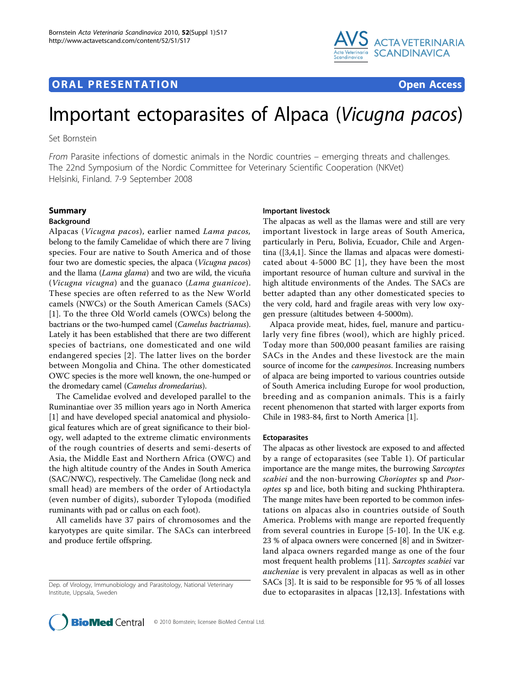# **ORAL PRESENTATION CONSUMING ACCESS**



# Important ectoparasites of Alpaca (Vicugna pacos)

Set Bornstein

From Parasite infections of domestic animals in the Nordic countries – emerging threats and challenges. The 22nd Symposium of the Nordic Committee for Veterinary Scientific Cooperation (NKVet) Helsinki, Finland. 7-9 September 2008

# Summary

#### Background

Alpacas (Vicugna pacos), earlier named Lama pacos, belong to the family Camelidae of which there are 7 living species. Four are native to South America and of those four two are domestic species, the alpaca (Vicugna pacos) and the llama (Lama glama) and two are wild, the vicuña (Vicugna vicugna) and the guanaco (Lama guanicoe). These species are often referred to as the New World camels (NWCs) or the South American Camels (SACs) [[1\]](#page-4-0). To the three Old World camels (OWCs) belong the bactrians or the two-humped camel (Camelus bactrianus). Lately it has been established that there are two different species of bactrians, one domesticated and one wild endangered species [[2](#page-4-0)]. The latter lives on the border between Mongolia and China. The other domesticated OWC species is the more well known, the one-humped or the dromedary camel (Camelus dromedarius).

The Camelidae evolved and developed parallel to the Ruminantiae over 35 million years ago in North America [[1\]](#page-4-0) and have developed special anatomical and physiological features which are of great significance to their biology, well adapted to the extreme climatic environments of the rough countries of deserts and semi-deserts of Asia, the Middle East and Northern Africa (OWC) and the high altitude country of the Andes in South America (SAC/NWC), respectively. The Camelidae (long neck and small head) are members of the order of Artiodactyla (even number of digits), suborder Tylopoda (modified ruminants with pad or callus on each foot).

All camelids have 37 pairs of chromosomes and the karyotypes are quite similar. The SACs can interbreed and produce fertile offspring.

# Important livestock

The alpacas as well as the llamas were and still are very important livestock in large areas of South America, particularly in Peru, Bolivia, Ecuador, Chile and Argentina ([\[3,4,1](#page-4-0)]. Since the llamas and alpacas were domesticated about 4-5000 BC [\[1\]](#page-4-0), they have been the most important resource of human culture and survival in the high altitude environments of the Andes. The SACs are better adapted than any other domesticated species to the very cold, hard and fragile areas with very low oxygen pressure (altitudes between 4-5000m).

Alpaca provide meat, hides, fuel, manure and particularly very fine fibres (wool), which are highly priced. Today more than 500,000 peasant families are raising SACs in the Andes and these livestock are the main source of income for the *campesinos*. Increasing numbers of alpaca are being imported to various countries outside of South America including Europe for wool production, breeding and as companion animals. This is a fairly recent phenomenon that started with larger exports from Chile in 1983-84, first to North America [\[1](#page-4-0)].

#### Ectoparasites

The alpacas as other livestock are exposed to and affected by a range of ectoparasites (see Table [1](#page-1-0)). Of particular importance are the mange mites, the burrowing Sarcoptes scabiei and the non-burrowing Chorioptes sp and Psoroptes sp and lice, both biting and sucking Phthiraptera. The mange mites have been reported to be common infestations on alpacas also in countries outside of South America. Problems with mange are reported frequently from several countries in Europe [[5](#page-4-0)-[10](#page-4-0)]. In the UK e.g. 23 % of alpaca owners were concerned [\[8](#page-4-0)] and in Switzerland alpaca owners regarded mange as one of the four most frequent health problems [[11\]](#page-4-0). Sarcoptes scabiei var aucheniae is very prevalent in alpacas as well as in other SACs [\[3\]](#page-4-0). It is said to be responsible for 95 % of all losses due to ectoparasites in alpacas [\[12,13](#page-4-0)]. Infestations with



Dep. of Virology, Immunobiology and Parasitology, National Veterinary Institute, Uppsala, Sweden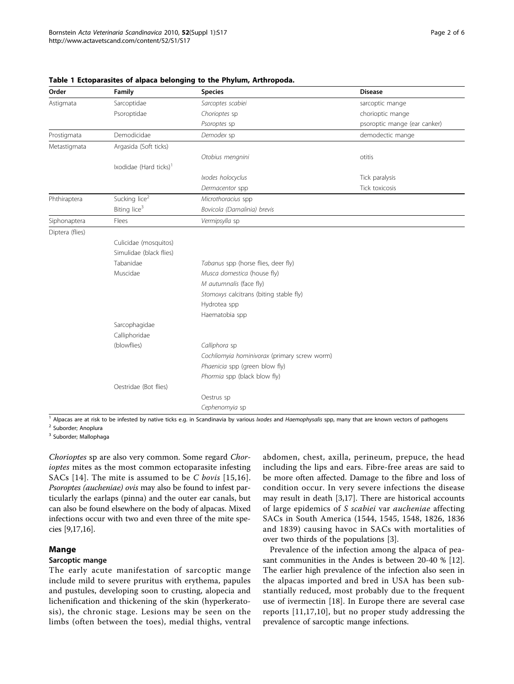| Order           | Family                             | <b>Species</b>                               | <b>Disease</b>               |
|-----------------|------------------------------------|----------------------------------------------|------------------------------|
| Astigmata       | Sarcoptidae                        | Sarcoptes scabiei                            | sarcoptic mange              |
|                 | Psoroptidae                        | Chorioptes sp                                | chorioptic mange             |
|                 |                                    | Psoroptes sp                                 | psoroptic mange (ear canker) |
| Prostigmata     | Demodicidae                        | Demodex sp                                   | demodectic mange             |
| Metastigmata    | Argasida (Soft ticks)              |                                              |                              |
|                 |                                    | Otobius mengnini                             | otitis                       |
|                 | Ixodidae (Hard ticks) <sup>1</sup> |                                              |                              |
|                 |                                    | Ixodes holocyclus                            | Tick paralysis               |
|                 |                                    | Dermacentor spp                              | Tick toxicosis               |
| Phthiraptera    | Sucking lice <sup>2</sup>          | Microthoracius spp                           |                              |
|                 | Biting lice <sup>3</sup>           | Bovicola (Damalinia) brevis                  |                              |
| Siphonaptera    | Flees                              | Vermipsylla sp                               |                              |
| Diptera (flies) |                                    |                                              |                              |
|                 | Culicidae (mosquitos)              |                                              |                              |
|                 | Simulidae (black flies)            |                                              |                              |
|                 | Tabanidae                          | Tabanus spp (horse flies, deer fly)          |                              |
|                 | Muscidae                           | Musca domestica (house fly)                  |                              |
|                 |                                    | M autumnalis (face fly)                      |                              |
|                 |                                    | Stomoxys calcitrans (biting stable fly)      |                              |
|                 |                                    | Hydrotea spp                                 |                              |
|                 |                                    | Haematobia spp                               |                              |
|                 | Sarcophagidae                      |                                              |                              |
|                 | Calliphoridae                      |                                              |                              |
|                 | (blowflies)                        | Calliphora sp                                |                              |
|                 |                                    | Cochliomyia hominivorax (primary screw worm) |                              |
|                 |                                    | Phaenicia spp (green blow fly)               |                              |
|                 |                                    | Phormia spp (black blow fly)                 |                              |
|                 | Oestridae (Bot flies)              |                                              |                              |
|                 |                                    | Oestrus sp                                   |                              |
|                 |                                    | Cephenomyia sp                               |                              |

#### <span id="page-1-0"></span>Table 1 Ectoparasites of alpaca belonging to the Phylum, Arthropoda.

<sup>1</sup> Alpacas are at risk to be infested by native ticks e.g. in Scandinavia by various *Ixodes* and Haemophysalis spp, many that are known vectors of pathogens

<sup>2</sup> Suborder; Anoplura

<sup>3</sup> Suborder; Mallophaga

Chorioptes sp are also very common. Some regard Chorioptes mites as the most common ectoparasite infesting SACs [[14](#page-4-0)]. The mite is assumed to be  $C$  bovis [[15](#page-4-0),[16\]](#page-4-0). Psoroptes (aucheniae) ovis may also be found to infest particularly the earlaps (pinna) and the outer ear canals, but can also be found elsewhere on the body of alpacas. Mixed infections occur with two and even three of the mite species [\[9,17,16](#page-4-0)].

# Mange

# Sarcoptic mange

The early acute manifestation of sarcoptic mange include mild to severe pruritus with erythema, papules and pustules, developing soon to crusting, alopecia and lichenification and thickening of the skin (hyperkeratosis), the chronic stage. Lesions may be seen on the limbs (often between the toes), medial thighs, ventral abdomen, chest, axilla, perineum, prepuce, the head including the lips and ears. Fibre-free areas are said to be more often affected. Damage to the fibre and loss of condition occur. In very severe infections the disease may result in death [[3,17\]](#page-4-0). There are historical accounts of large epidemics of S scabiei var aucheniae affecting SACs in South America (1544, 1545, 1548, 1826, 1836 and 1839) causing havoc in SACs with mortalities of over two thirds of the populations [[3\]](#page-4-0).

Prevalence of the infection among the alpaca of peasant communities in the Andes is between 20-40 % [[12](#page-4-0)]. The earlier high prevalence of the infection also seen in the alpacas imported and bred in USA has been substantially reduced, most probably due to the frequent use of ivermectin [\[18](#page-4-0)]. In Europe there are several case reports [[11](#page-4-0),[17,10](#page-4-0)], but no proper study addressing the prevalence of sarcoptic mange infections.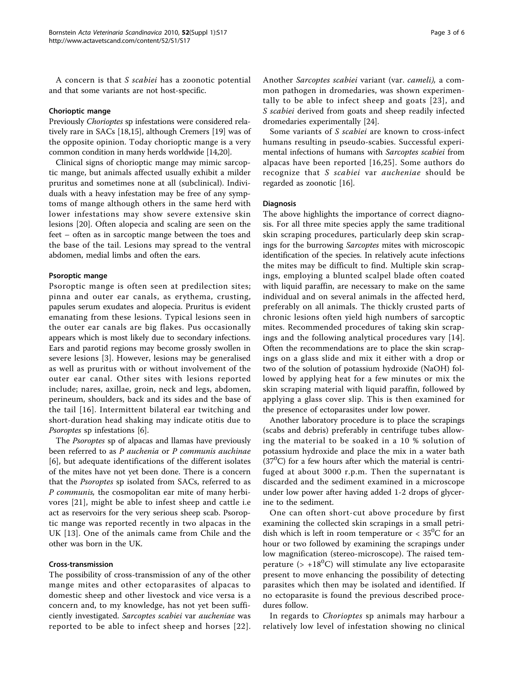A concern is that S scabiei has a zoonotic potential and that some variants are not host-specific.

### Chorioptic mange

Previously Chorioptes sp infestations were considered relatively rare in SACs [\[18,15](#page-4-0)], although Cremers [[19\]](#page-4-0) was of the opposite opinion. Today chorioptic mange is a very common condition in many herds worldwide [\[14,20\]](#page-4-0).

Clinical signs of chorioptic mange may mimic sarcoptic mange, but animals affected usually exhibit a milder pruritus and sometimes none at all (subclinical). Individuals with a heavy infestation may be free of any symptoms of mange although others in the same herd with lower infestations may show severe extensive skin lesions [[20\]](#page-4-0). Often alopecia and scaling are seen on the feet – often as in sarcoptic mange between the toes and the base of the tail. Lesions may spread to the ventral abdomen, medial limbs and often the ears.

#### Psoroptic mange

Psoroptic mange is often seen at predilection sites; pinna and outer ear canals, as erythema, crusting, papules serum exudates and alopecia. Pruritus is evident emanating from these lesions. Typical lesions seen in the outer ear canals are big flakes. Pus occasionally appears which is most likely due to secondary infections. Ears and parotid regions may become grossly swollen in severe lesions [[3](#page-4-0)]. However, lesions may be generalised as well as pruritus with or without involvement of the outer ear canal. Other sites with lesions reported include; nares, axillae, groin, neck and legs, abdomen, perineum, shoulders, back and its sides and the base of the tail [\[16\]](#page-4-0). Intermittent bilateral ear twitching and short-duration head shaking may indicate otitis due to Psoroptes sp infestations [\[6](#page-4-0)].

The Psoroptes sp of alpacas and llamas have previously been referred to as P auchenia or P communis auchinae [[6\]](#page-4-0), but adequate identifications of the different isolates of the mites have not yet been done. There is a concern that the Psoroptes sp isolated from SACs, referred to as P communis, the cosmopolitan ear mite of many herbivores [[21](#page-4-0)], might be able to infest sheep and cattle i.e act as reservoirs for the very serious sheep scab. Psoroptic mange was reported recently in two alpacas in the UK [[13\]](#page-4-0). One of the animals came from Chile and the other was born in the UK.

# Cross-transmission

The possibility of cross-transmission of any of the other mange mites and other ectoparasites of alpacas to domestic sheep and other livestock and vice versa is a concern and, to my knowledge, has not yet been sufficiently investigated. Sarcoptes scabiei var aucheniae was reported to be able to infect sheep and horses [[22\]](#page-4-0).

Another Sarcoptes scabiei variant (var. cameli), a common pathogen in dromedaries, was shown experimentally to be able to infect sheep and goats [[23](#page-4-0)], and S scabiei derived from goats and sheep readily infected dromedaries experimentally [[24](#page-4-0)].

Some variants of S scabiei are known to cross-infect humans resulting in pseudo-scabies. Successful experimental infections of humans with Sarcoptes scabiei from alpacas have been reported [[16,25\]](#page-4-0). Some authors do recognize that S scabiei var aucheniae should be regarded as zoonotic [\[16](#page-4-0)].

#### **Diagnosis**

The above highlights the importance of correct diagnosis. For all three mite species apply the same traditional skin scraping procedures, particularly deep skin scrapings for the burrowing Sarcoptes mites with microscopic identification of the species. In relatively acute infections the mites may be difficult to find. Multiple skin scrapings, employing a blunted scalpel blade often coated with liquid paraffin, are necessary to make on the same individual and on several animals in the affected herd, preferably on all animals. The thickly crusted parts of chronic lesions often yield high numbers of sarcoptic mites. Recommended procedures of taking skin scrapings and the following analytical procedures vary [[14](#page-4-0)]. Often the recommendations are to place the skin scrapings on a glass slide and mix it either with a drop or two of the solution of potassium hydroxide (NaOH) followed by applying heat for a few minutes or mix the skin scraping material with liquid paraffin, followed by applying a glass cover slip. This is then examined for the presence of ectoparasites under low power.

Another laboratory procedure is to place the scrapings (scabs and debris) preferably in centrifuge tubes allowing the material to be soaked in a 10 % solution of potassium hydroxide and place the mix in a water bath  $(37<sup>0</sup>C)$  for a few hours after which the material is centrifuged at about 3000 r.p.m. Then the supernatant is discarded and the sediment examined in a microscope under low power after having added 1-2 drops of glycerine to the sediment.

One can often short-cut above procedure by first examining the collected skin scrapings in a small petridish which is left in room temperature or  $< 35^{\circ}$ C for an hour or two followed by examining the scrapings under low magnification (stereo-microscope). The raised temperature ( $> +18^{0}$ C) will stimulate any live ectoparasite present to move enhancing the possibility of detecting parasites which then may be isolated and identified. If no ectoparasite is found the previous described procedures follow.

In regards to *Chorioptes* sp animals may harbour a relatively low level of infestation showing no clinical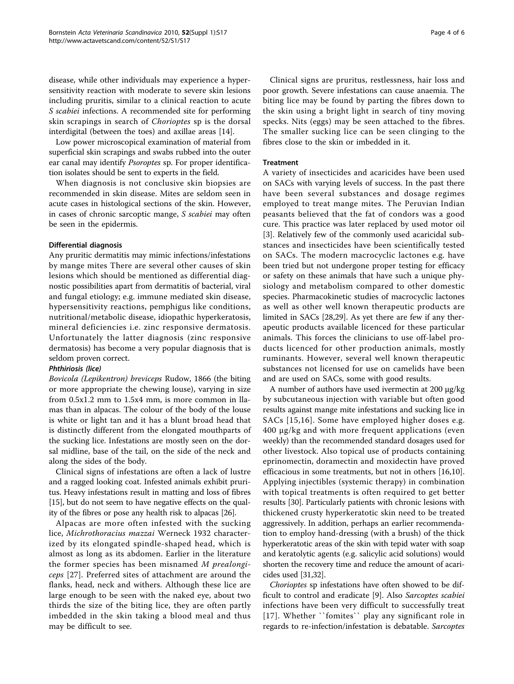disease, while other individuals may experience a hypersensitivity reaction with moderate to severe skin lesions including pruritis, similar to a clinical reaction to acute S scabiei infections. A recommended site for performing skin scrapings in search of Chorioptes sp is the dorsal interdigital (between the toes) and axillae areas [[14\]](#page-4-0).

Low power microscopical examination of material from superficial skin scrapings and swabs rubbed into the outer ear canal may identify *Psoroptes* sp. For proper identification isolates should be sent to experts in the field.

When diagnosis is not conclusive skin biopsies are recommended in skin disease. Mites are seldom seen in acute cases in histological sections of the skin. However, in cases of chronic sarcoptic mange, S scabiei may often be seen in the epidermis.

# Differential diagnosis

Any pruritic dermatitis may mimic infections/infestations by mange mites There are several other causes of skin lesions which should be mentioned as differential diagnostic possibilities apart from dermatitis of bacterial, viral and fungal etiology; e.g. immune mediated skin disease, hypersensitivity reactions, pemphigus like conditions, nutritional/metabolic disease, idiopathic hyperkeratosis, mineral deficiencies i.e. zinc responsive dermatosis. Unfortunately the latter diagnosis (zinc responsive dermatosis) has become a very popular diagnosis that is seldom proven correct.

# Phthiriosis (lice)

Bovicola (Lepikentron) breviceps Rudow, 1866 (the biting or more appropriate the chewing louse), varying in size from 0.5x1.2 mm to 1.5x4 mm, is more common in llamas than in alpacas. The colour of the body of the louse is white or light tan and it has a blunt broad head that is distinctly different from the elongated mouthparts of the sucking lice. Infestations are mostly seen on the dorsal midline, base of the tail, on the side of the neck and along the sides of the body.

Clinical signs of infestations are often a lack of lustre and a ragged looking coat. Infested animals exhibit pruritus. Heavy infestations result in matting and loss of fibres [[15](#page-4-0)], but do not seem to have negative effects on the quality of the fibres or pose any health risk to alpacas [\[26\]](#page-4-0).

Alpacas are more often infested with the sucking lice, Michrothoracius mazzai Werneck 1932 characterized by its elongated spindle-shaped head, which is almost as long as its abdomen. Earlier in the literature the former species has been misnamed M prealongiceps [[27\]](#page-4-0). Preferred sites of attachment are around the flanks, head, neck and withers. Although these lice are large enough to be seen with the naked eye, about two thirds the size of the biting lice, they are often partly imbedded in the skin taking a blood meal and thus may be difficult to see.

Clinical signs are pruritus, restlessness, hair loss and poor growth. Severe infestations can cause anaemia. The biting lice may be found by parting the fibres down to the skin using a bright light in search of tiny moving specks. Nits (eggs) may be seen attached to the fibres. The smaller sucking lice can be seen clinging to the fibres close to the skin or imbedded in it.

# **Treatment**

A variety of insecticides and acaricides have been used on SACs with varying levels of success. In the past there have been several substances and dosage regimes employed to treat mange mites. The Peruvian Indian peasants believed that the fat of condors was a good cure. This practice was later replaced by used motor oil [[3\]](#page-4-0). Relatively few of the commonly used acaricidal substances and insecticides have been scientifically tested on SACs. The modern macrocyclic lactones e.g. have been tried but not undergone proper testing for efficacy or safety on these animals that have such a unique physiology and metabolism compared to other domestic species. Pharmacokinetic studies of macrocyclic lactones as well as other well known therapeutic products are limited in SACs [\[28,29\]](#page-4-0). As yet there are few if any therapeutic products available licenced for these particular animals. This forces the clinicians to use off-label products licenced for other production animals, mostly ruminants. However, several well known therapeutic substances not licensed for use on camelids have been and are used on SACs, some with good results.

A number of authors have used ivermectin at 200 µg/kg by subcutaneous injection with variable but often good results against mange mite infestations and sucking lice in SACs [\[15,16](#page-4-0)]. Some have employed higher doses e.g. 400 µg/kg and with more frequent applications (even weekly) than the recommended standard dosages used for other livestock. Also topical use of products containing eprinomectin, doramectin and moxidectin have proved efficacious in some treatments, but not in others [\[16,10](#page-4-0)]. Applying injectibles (systemic therapy) in combination with topical treatments is often required to get better results [[30\]](#page-4-0). Particularly patients with chronic lesions with thickened crusty hyperkeratotic skin need to be treated aggressively. In addition, perhaps an earlier recommendation to employ hand-dressing (with a brush) of the thick hyperkeratotic areas of the skin with tepid water with soap and keratolytic agents (e.g. salicylic acid solutions) would shorten the recovery time and reduce the amount of acaricides used [\[31,32](#page-4-0)].

Chorioptes sp infestations have often showed to be difficult to control and eradicate [[9\]](#page-4-0). Also Sarcoptes scabiei infections have been very difficult to successfully treat [[17\]](#page-4-0). Whether ``fomites`` play any significant role in regards to re-infection/infestation is debatable. Sarcoptes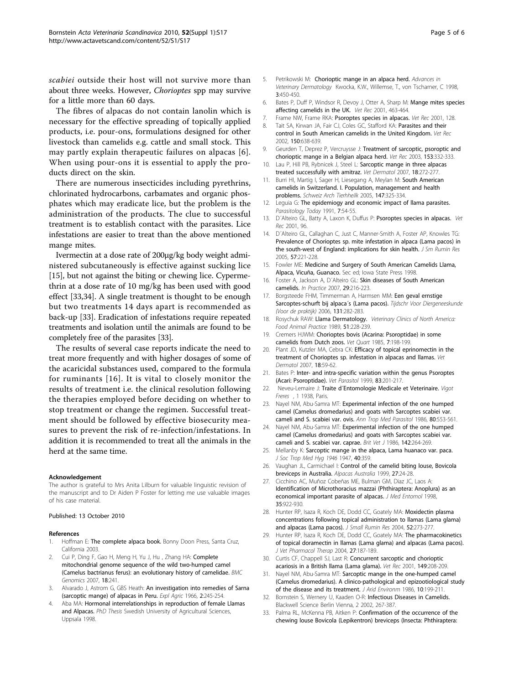<span id="page-4-0"></span>scabiei outside their host will not survive more than about three weeks. However, Chorioptes spp may survive for a little more than 60 days.

The fibres of alpacas do not contain lanolin which is necessary for the effective spreading of topically applied products, i.e. pour-ons, formulations designed for other livestock than camelids e.g. cattle and small stock. This may partly explain therapeutic failures on alpacas [6]. When using pour-ons it is essential to apply the products direct on the skin.

There are numerous insecticides including pyrethrins, chlorinated hydrocarbons, carbamates and organic phosphates which may eradicate lice, but the problem is the administration of the products. The clue to successful treatment is to establish contact with the parasites. Lice infestations are easier to treat than the above mentioned mange mites.

Ivermectin at a dose rate of 200µg/kg body weight administered subcutaneously is effective against sucking lice [15], but not against the biting or chewing lice. Cypermethrin at a dose rate of 10 mg/kg has been used with good effect [33,[34](#page-5-0)]. A single treatment is thought to be enough but two treatments 14 days apart is recommended as back-up [33]. Eradication of infestations require repeated treatments and isolation until the animals are found to be completely free of the parasites [33].

The results of several case reports indicate the need to treat more frequently and with higher dosages of some of the acaricidal substances used, compared to the formula for ruminants [16]. It is vital to closely monitor the results of treatment i.e. the clinical resolution following the therapies employed before deciding on whether to stop treatment or change the regimen. Successful treatment should be followed by effective biosecurity measures to prevent the risk of re-infection/infestations. In addition it is recommended to treat all the animals in the herd at the same time.

#### Acknowledgement

The author is grateful to Mrs Anita Lilburn for valuable linguistic revision of the manuscript and to Dr Aiden P Foster for letting me use valuable images of his case material.

#### Published: 13 October 2010

#### References

- Hoffman E: The complete alpaca book. Bonny Doon Press, Santa Cruz, California 2003.
- 2. Cui P, Ding F, Gao H, Meng H, Yu J, Hu , Zhang HA: Complete mitochondrial genome sequence of the wild two-humped camel (Camelus bactrianus ferus): an evolutionary history of camelidae. BMC Genomics 2007, 18:241.
- Alvarado J, Astrom G, GBS Heath: An investigation into remedies of Sarna (sarcoptic mange) of alpacas in Peru. Expl Agric 1966, 2:245-254.
- 4. Aba MA: Hormonal interrelationships in reproduction of female Llamas and Alpacas. PhD Thesis Swedish University of Agricultural Sciences, Uppsala 1998.
- 5. Petrikowski M: Chorioptic mange in an alpaca herd. Advances in Veterinary Dermatology Kwocka, K.W., Willemse, T., von Tscharner, C 1998, 3:450-450.
- 6. Bates P, Duff P, Windsor R, Devoy J, Otter A, Sharp M: [Mange mites species](http://www.ncbi.nlm.nih.gov/pubmed/11688755?dopt=Abstract) [affecting camelids in the UK.](http://www.ncbi.nlm.nih.gov/pubmed/11688755?dopt=Abstract) Vet Rec 2001, 463-464.
- 7. Frame NW, Frame RKA: [Psoroptes species in alpacas.](http://www.ncbi.nlm.nih.gov/pubmed/11504214?dopt=Abstract) Vet Rec 2001, 128.
- 8. Tait SA, Kirwan JA, Fair CJ, Coles GC, Stafford KA: [Parasites and their](http://www.ncbi.nlm.nih.gov/pubmed/12046792?dopt=Abstract) [control in South American camelids in the United Kingdom.](http://www.ncbi.nlm.nih.gov/pubmed/12046792?dopt=Abstract) Vet Rec 2002, 150:638-639.
- 9. Geurden T, Deprez P, Vercruysse J: [Treatment of sarcoptic, psoroptic and](http://www.ncbi.nlm.nih.gov/pubmed/14516118?dopt=Abstract) [chorioptic mange in a Belgian alpaca herd.](http://www.ncbi.nlm.nih.gov/pubmed/14516118?dopt=Abstract) Vet Rec 2003, 153:332-333.
- 10. Lau P, Hill PB, Rybnicek J, Steel L: [Sarcoptic mange in three alpacas](http://www.ncbi.nlm.nih.gov/pubmed/17610494?dopt=Abstract) [treated successfully with amitraz.](http://www.ncbi.nlm.nih.gov/pubmed/17610494?dopt=Abstract) Vet Dermatol 2007, 18:272-277.
- 11. Burri HI, Martig I, Sager H, Liesegang A, Meylan M: South American camelids in Switzerland. I. Population, management and health problems. Schweiz Arch Tierhheilk 2005, 147:325-334.
- 12. Leguia G: [The epidemiogy and economic impact of llama parasites.](http://www.ncbi.nlm.nih.gov/pubmed/15463422?dopt=Abstract) Parasitology Today 1991, 7:54-55.
- 13. D'Alteiro GL, Batty A, Laxon K, Duffus P: Psoroptes species in alpacas. Vet Rec 2001, 96.
- 14. D´Alteiro GL, Callaghan C, Just C, Manner-Smith A, Foster AP, Knowles TG: Prevalence of Chorioptes sp. mite infestation in alpaca (Lama pacos) in the south-west of England: implications for skin health. J Sm Rumin Res 2005, 57:221-228.
- 15. Fowler ME: Medicine and Surgery of South American Camelids Llama, Alpaca, Vicuña, Guanaco. Sec ed; Iowa State Press 1998.
- 16. Foster A, Jackson A, D'Alteiro GL: Skin diseases of South American camelids. In Practice 2007, 29:216-223.
- 17. Borgsteede FHM, Timmerman A, Harmsen MM: Een geval ernstige Sarcoptes-schurft bij alpaca's (Lama pacos). Tijdschr Voor Diergeneeskunde (Voor de praktijk) 2006, 131:282-283.
- 18. Rosychuk RAW: Llama Dermatology. Veterinary Clinics of North America: Food Animal Practice 1989, 51:228-239.
- 19. Cremers HJWM: Chorioptes bovis (Acarina: Psoroptidae) in some camelids from Dutch zoos. Vet Quart 1985, 7:198-199.
- 20. Plant JD, Kutzler MA, Cebra CK: [Efficacy of topical eprinomectin in the](http://www.ncbi.nlm.nih.gov/pubmed/17222243?dopt=Abstract) [treatment of Chorioptes sp. infestation in alpacas and llamas.](http://www.ncbi.nlm.nih.gov/pubmed/17222243?dopt=Abstract) Vet Dermatol 2007, 18:59-62.
- 21. Bates P: [Inter- and intra-specific variation within the genus Psoroptes](http://www.ncbi.nlm.nih.gov/pubmed/10423003?dopt=Abstract) [\(Acari: Psoroptidae\).](http://www.ncbi.nlm.nih.gov/pubmed/10423003?dopt=Abstract) Vet Parasitol 1999, 83:201-217.
- 22. Neveu-Lemaire J: Traite d'Entomologie Medicale et Veterinaire. Vigot Freres , 1 1938, Paris.
- 23. Nayel NM, Abu-Samra MT: [Experimental infection of the one humped](http://www.ncbi.nlm.nih.gov/pubmed/2443090?dopt=Abstract) [camel \(Camelus dromedarius\) and goats with Sarcoptes scabiei var.](http://www.ncbi.nlm.nih.gov/pubmed/2443090?dopt=Abstract) [cameli and S. scabiei var. ovis.](http://www.ncbi.nlm.nih.gov/pubmed/2443090?dopt=Abstract) Ann Trop Med Parasitol 1986, 80:553-561.
- 24. Nayel NM, Abu-Samra MT: Experimental infection of the one humped camel (Camelus dromedarius) and goats with Sarcoptes scabiei var. cameli and S. scabiei var. caprae. Brit Vet J 1986, 142:264-269.
- 25. Mellanby K: Sarcoptic mange in the alpaca, Lama huanaco var. paca. J Soc Trop Med Hyg 1946 1947, 40:359.
- 26. Vaughan JL, Carmichael I: Control of the camelid biting louse, Bovicola breviceps in Australia. Alpacas Australia 1999, 27:24-28.
- 27. Cicchino AC, Muñoz Cobeñas ME, Bulman GM, Diaz JC, Laos A: [Identification of Microthoracius mazzai \(Phthiraptera: Anoplura\) as an](http://www.ncbi.nlm.nih.gov/pubmed/9835681?dopt=Abstract) [economical important parasite of alpacas.](http://www.ncbi.nlm.nih.gov/pubmed/9835681?dopt=Abstract) J Med Entomol 1998, 35:922-930.
- 28. Hunter RP, Isaza R, Koch DE, Dodd CC, Goately MA: Moxidectin plasma concentrations following topical administration to llamas (Lama glama) and alpacas (Lama pacos). J Small Rumin Res 2004, 52:273-277.
- 29. Hunter RP, Isaza R, Koch DE, Dodd CC, Goately MA: The pharmacokinetics of topical doramectin in llamas (Lama glama) and alpacas (Lama pacos). J Vet Pharmacol Therap 2004, 27:187-189.
- 30. Curtis CF, Chappell SJ, Last R: [Concurrent sarcoptic and chorioptic](http://www.ncbi.nlm.nih.gov/pubmed/11548959?dopt=Abstract) [acariosis in a British llama \(Lama glama\).](http://www.ncbi.nlm.nih.gov/pubmed/11548959?dopt=Abstract) Vet Rec 2001, 149:208-209.
- 31. Nayel NM, Abu-Samra MT: Sarcoptic mange in the one-humped camel (Camelus dromedarius). A clinico-pathological and epizootiological study of the disease and its treatment. J Arid Environm 1986, 10:199-211.
- Bornstein S, Wernery U, Kaaden O-R: Infectious Diseases in Camelids. Blackwell Science Berlin Vienna, 2 2002, 267-387.
- 33. Palma RL, McKenna PB, Aitken P: Confirmation of the occurrence of the chewing louse Bovicola (Lepikentron) breviceps (Insecta: Phthiraptera: